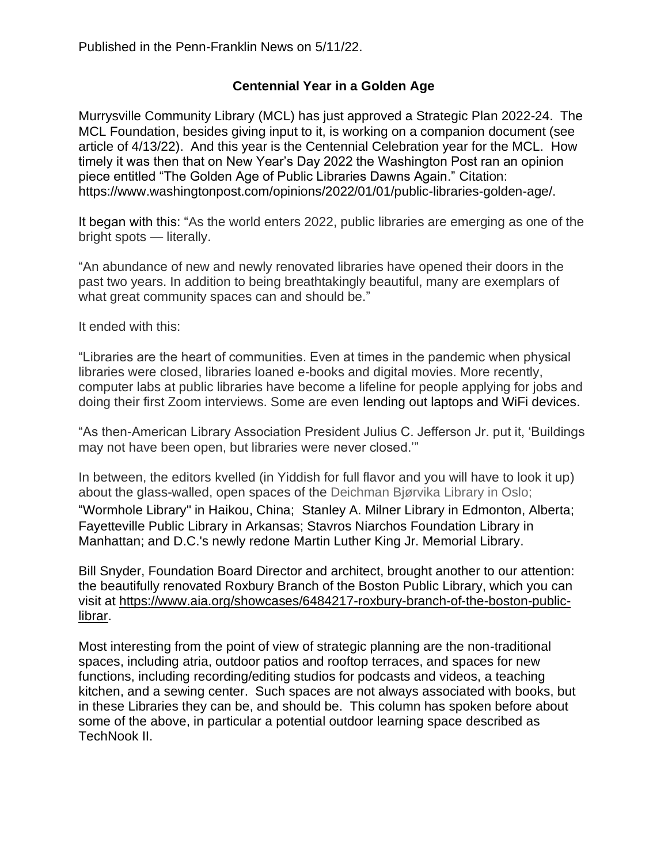## **Centennial Year in a Golden Age**

Murrysville Community Library (MCL) has just approved a Strategic Plan 2022-24. The MCL Foundation, besides giving input to it, is working on a companion document (see article of 4/13/22). And this year is the Centennial Celebration year for the MCL. How timely it was then that on New Year's Day 2022 the Washington Post ran an opinion piece entitled "The Golden Age of Public Libraries Dawns Again." Citation: https://www.washingtonpost.com/opinions/2022/01/01/public-libraries-golden-age/.

It began with this: "As the world enters 2022, public libraries are emerging as one of the bright spots — literally.

"An abundance of new and newly renovated libraries have opened their doors in the past two years. In addition to being breathtakingly beautiful, many are exemplars of what great community spaces can and should be."

It ended with this:

"Libraries are the heart of communities. Even at times in the pandemic when physical libraries were closed, libraries loaned e-books and digital movies. More recently, computer labs at public libraries have become a lifeline for people applying for jobs and doing their first Zoom interviews. Some are even [lending out laptops and WiFi devices.](https://www.washingtonpost.com/business/2021/10/07/job-openings-left-behind/?itid=lk_inline_manual_22)

"As then-American Library Association President Julius C. Jefferson Jr. put it, 'Buildings may not have been open, but libraries were never closed.'"

In between, the editors kvelled (in Yiddish for full flavor and you will have to look it up) about the glass-walled, open spaces of the Deichman Bjørvika Library in Oslo; ["Wormhole Library"](https://www.designboom.com/architecture/mad-architects-wormhole-library-cloudscape-haikou-china-completion-04-21-2021/) in Haikou, China; [Stanley A. Milner Library](https://www.commarch.com/news/2021/apr/09/edmontons-new-milner-library-elevates-community-fo/) in Edmonton, Alberta; [Fayetteville Public Library](https://www.faylib.org/home-page-8565) in Arkansas; [Stavros Niarchos Foundation Library](https://www.nypl.org/locations/snfl) in Manhattan; and D.C.'s newly redone [Martin Luther King Jr. Memorial Library.](https://www.washingtonpost.com/entertainment/americas-libraries-are-essential-now--and-this-beautifully-renovated-one-in-washington-gives-us-hope/2020/07/15/d7b0bbc6-c5ed-11ea-b037-f9711f89ee46_story.html?itid=lk_inline_manual_15)

Bill Snyder, Foundation Board Director and architect, brought another to our attention: the beautifully renovated Roxbury Branch of the Boston Public Library, which you can visit at [https://www.aia.org/showcases/6484217-roxbury-branch-of-the-boston-public](https://www.aia.org/showcases/6484217-roxbury-branch-of-the-boston-public-librar)[librar.](https://www.aia.org/showcases/6484217-roxbury-branch-of-the-boston-public-librar)

Most interesting from the point of view of strategic planning are the non-traditional spaces, including atria, outdoor patios and rooftop terraces, and spaces for new functions, including recording/editing studios for podcasts and videos, a teaching kitchen, and a sewing center. Such spaces are not always associated with books, but in these Libraries they can be, and should be. This column has spoken before about some of the above, in particular a potential outdoor learning space described as TechNook II.